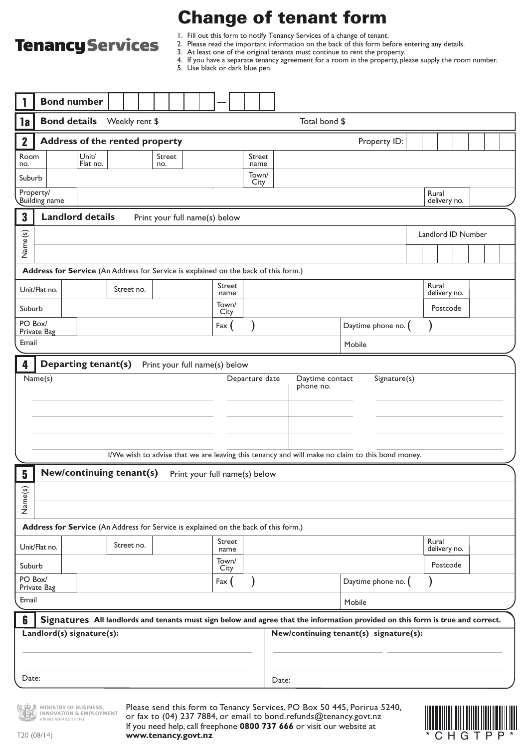# **Tenancy Services**

## Change of tenant form

1. Fill out this form to notify Tenancy Services of a change of tenant.

- 2. Please read the important information on the back of this form before entering any details.
	- 3. At least one of the original tenants must continue to rent the property.
	- 4. If you have a separate tenancy agreement for a room in the property, please supply the room number.

5. Use black or dark blue pen.

| <b>Bond number</b>                                                                             |                                            |  |                                                             |               |                                       |                |               |       |                               |  |                   |                                        |          |                       |                       |               |                                                                                                                                                        |  |  |  |  |  |
|------------------------------------------------------------------------------------------------|--------------------------------------------|--|-------------------------------------------------------------|---------------|---------------------------------------|----------------|---------------|-------|-------------------------------|--|-------------------|----------------------------------------|----------|-----------------------|-----------------------|---------------|--------------------------------------------------------------------------------------------------------------------------------------------------------|--|--|--|--|--|
| 1a                                                                                             | <b>Bond details</b>                        |  |                                                             |               | Weekly rent \$                        |                |               |       |                               |  |                   |                                        |          |                       |                       | Total bond \$ |                                                                                                                                                        |  |  |  |  |  |
| $\mathbf{2}$                                                                                   |                                            |  |                                                             |               | <b>Address of the rented property</b> |                |               |       |                               |  |                   |                                        |          |                       |                       |               | Property ID:                                                                                                                                           |  |  |  |  |  |
| no.                                                                                            | Unit/<br>Room<br>Street<br>Flat no.<br>no. |  |                                                             |               |                                       | Street<br>name |               |       |                               |  |                   |                                        |          |                       |                       |               |                                                                                                                                                        |  |  |  |  |  |
|                                                                                                | Suburb                                     |  |                                                             |               |                                       |                |               |       | Town/<br>City                 |  |                   |                                        |          |                       |                       |               |                                                                                                                                                        |  |  |  |  |  |
| Property/<br>Building name                                                                     |                                            |  |                                                             |               |                                       |                |               |       |                               |  |                   |                                        |          |                       |                       |               | Rural<br>delivery no.                                                                                                                                  |  |  |  |  |  |
| 3                                                                                              |                                            |  | <b>Landlord details</b>                                     |               | Print your full name(s) below         |                |               |       |                               |  |                   |                                        |          |                       |                       |               |                                                                                                                                                        |  |  |  |  |  |
|                                                                                                |                                            |  |                                                             |               |                                       |                |               |       |                               |  |                   |                                        |          |                       | Landlord ID Number    |               |                                                                                                                                                        |  |  |  |  |  |
| Name(s)                                                                                        |                                            |  |                                                             |               |                                       |                |               |       |                               |  |                   |                                        |          |                       |                       |               |                                                                                                                                                        |  |  |  |  |  |
| Address for Service (An Address for Service is explained on the back of this form.)            |                                            |  |                                                             |               |                                       |                |               |       |                               |  |                   |                                        |          |                       |                       |               |                                                                                                                                                        |  |  |  |  |  |
| Unit/Flat no.<br>Street no.                                                                    |                                            |  |                                                             |               |                                       | Street<br>name |               |       |                               |  |                   |                                        |          |                       | Rural<br>delivery no. |               |                                                                                                                                                        |  |  |  |  |  |
|                                                                                                | Suburb                                     |  |                                                             |               |                                       |                | Town/<br>City |       |                               |  |                   |                                        |          |                       |                       | Postcode      |                                                                                                                                                        |  |  |  |  |  |
|                                                                                                | PO Box/<br>Private Bag                     |  |                                                             |               |                                       |                |               | Fax ( |                               |  |                   | Daytime phone no. (                    |          |                       |                       |               |                                                                                                                                                        |  |  |  |  |  |
| Email                                                                                          |                                            |  |                                                             |               |                                       |                |               |       |                               |  |                   |                                        |          |                       |                       | Mobile        |                                                                                                                                                        |  |  |  |  |  |
| 4                                                                                              |                                            |  | Departing tenant(s)                                         |               |                                       |                |               |       | Print your full name(s) below |  |                   |                                        |          |                       |                       |               |                                                                                                                                                        |  |  |  |  |  |
|                                                                                                |                                            |  |                                                             |               |                                       |                |               |       |                               |  |                   |                                        |          |                       |                       |               | I/We wish to advise that we are leaving this tenancy and will make no claim to this bond money.                                                        |  |  |  |  |  |
| 5                                                                                              |                                            |  |                                                             |               | New/continuing tenant(s)              |                |               |       | Print your full name(s) below |  |                   |                                        |          |                       |                       |               |                                                                                                                                                        |  |  |  |  |  |
| Name(s)<br>Address for Service (An Address for Service is explained on the back of this form.) |                                            |  |                                                             |               |                                       |                |               |       |                               |  |                   |                                        |          |                       |                       |               |                                                                                                                                                        |  |  |  |  |  |
| Street no.<br>Unit/Flat no.                                                                    |                                            |  |                                                             |               | Street<br>name                        |                |               |       |                               |  |                   |                                        |          | Rural<br>delivery no. |                       |               |                                                                                                                                                        |  |  |  |  |  |
| Suburb                                                                                         |                                            |  |                                                             | Town/<br>City |                                       |                |               |       |                               |  |                   |                                        | Postcode |                       |                       |               |                                                                                                                                                        |  |  |  |  |  |
| PO Box/<br>Private Bag                                                                         |                                            |  |                                                             | Fax           |                                       |                |               |       |                               |  | Daytime phone no. |                                        |          |                       |                       |               |                                                                                                                                                        |  |  |  |  |  |
| Email                                                                                          |                                            |  |                                                             |               |                                       |                |               |       |                               |  |                   |                                        |          |                       |                       |               | Mobile                                                                                                                                                 |  |  |  |  |  |
| 6                                                                                              |                                            |  |                                                             |               |                                       |                |               |       |                               |  |                   |                                        |          |                       |                       |               | Signatures All landlords and tenants must sign below and agree that the information provided on this form is true and correct.                         |  |  |  |  |  |
| Landlord(s) signature(s):                                                                      |                                            |  |                                                             |               |                                       |                |               |       |                               |  |                   | New/continuing tenant(s) signature(s): |          |                       |                       |               |                                                                                                                                                        |  |  |  |  |  |
| Date:                                                                                          |                                            |  |                                                             |               |                                       |                |               |       |                               |  |                   | Date:                                  |          |                       |                       |               |                                                                                                                                                        |  |  |  |  |  |
|                                                                                                |                                            |  | MINISTRY OF BUSINESS,<br><b>INNOVATION &amp; EMPLOYMENT</b> |               |                                       |                |               |       |                               |  |                   |                                        |          |                       |                       |               | Please send this form to Tenancy Services, PO Box 50 445, Porirua 5240,<br>or fax to $(04)$ 237 7884 or email to bond refunds $\oslash$ tenancy govt n |  |  |  |  |  |

T20 (08/14)

**ITKINA WHAKATUTUKI** 

Please send this form to Tenancy Services, PO Box 50 445, Porirua 5240, or fax to (04) 237 7884, or email to bond.refunds@tenancy.govt.nz If you need help, call freephone **0800 737 666** or visit our website at **www.tenancy.govt.nz**